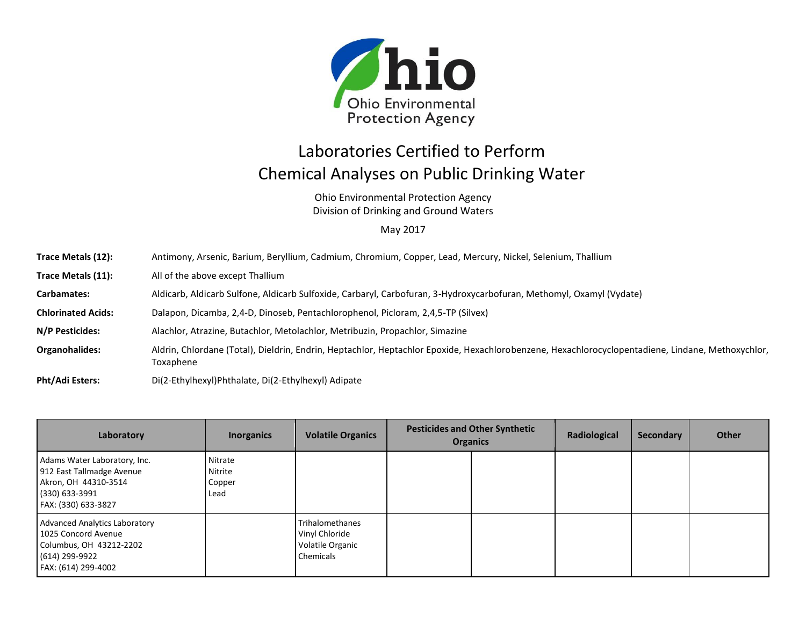

## Laboratories Certified to Perform Chemical Analyses on Public Drinking Water

Ohio Environmental Protection Agency Division of Drinking and Ground Waters

## May 2017

| Trace Metals (12):        | Antimony, Arsenic, Barium, Beryllium, Cadmium, Chromium, Copper, Lead, Mercury, Nickel, Selenium, Thallium                                                     |
|---------------------------|----------------------------------------------------------------------------------------------------------------------------------------------------------------|
| Trace Metals (11):        | All of the above except Thallium                                                                                                                               |
| Carbamates:               | Aldicarb, Aldicarb Sulfone, Aldicarb Sulfoxide, Carbaryl, Carbofuran, 3-Hydroxycarbofuran, Methomyl, Oxamyl (Vydate)                                           |
| <b>Chlorinated Acids:</b> | Dalapon, Dicamba, 2,4-D, Dinoseb, Pentachlorophenol, Picloram, 2,4,5-TP (Silvex)                                                                               |
| N/P Pesticides:           | Alachlor, Atrazine, Butachlor, Metolachlor, Metribuzin, Propachlor, Simazine                                                                                   |
| <b>Organohalides:</b>     | Aldrin, Chlordane (Total), Dieldrin, Endrin, Heptachlor, Heptachlor Epoxide, Hexachlorobenzene, Hexachlorocyclopentadiene, Lindane, Methoxychlor,<br>Toxaphene |
| $DLLIA$ di Fatana.        | Dila Febrikan ildhehalata. Dila Febrikan il Adisata.                                                                                                           |

**Pht/Adi Esters:** Di(2-Ethylhexyl)Phthalate, Di(2-Ethylhexyl) Adipate

| Laboratory                                                                                                                      | <b>Inorganics</b>                    | <b>Volatile Organics</b>                                           | <b>Pesticides and Other Synthetic</b><br><b>Organics</b> |  | Radiological | Secondary | <b>Other</b> |
|---------------------------------------------------------------------------------------------------------------------------------|--------------------------------------|--------------------------------------------------------------------|----------------------------------------------------------|--|--------------|-----------|--------------|
| Adams Water Laboratory, Inc.<br>912 East Tallmadge Avenue<br>Akron, OH 44310-3514<br>(330) 633-3991<br>FAX: (330) 633-3827      | Nitrate<br>Nitrite<br>Copper<br>Lead |                                                                    |                                                          |  |              |           |              |
| <b>Advanced Analytics Laboratory</b><br>1025 Concord Avenue<br>Columbus, OH 43212-2202<br>(614) 299-9922<br>FAX: (614) 299-4002 |                                      | Trihalomethanes<br>Vinyl Chloride<br>Volatile Organic<br>Chemicals |                                                          |  |              |           |              |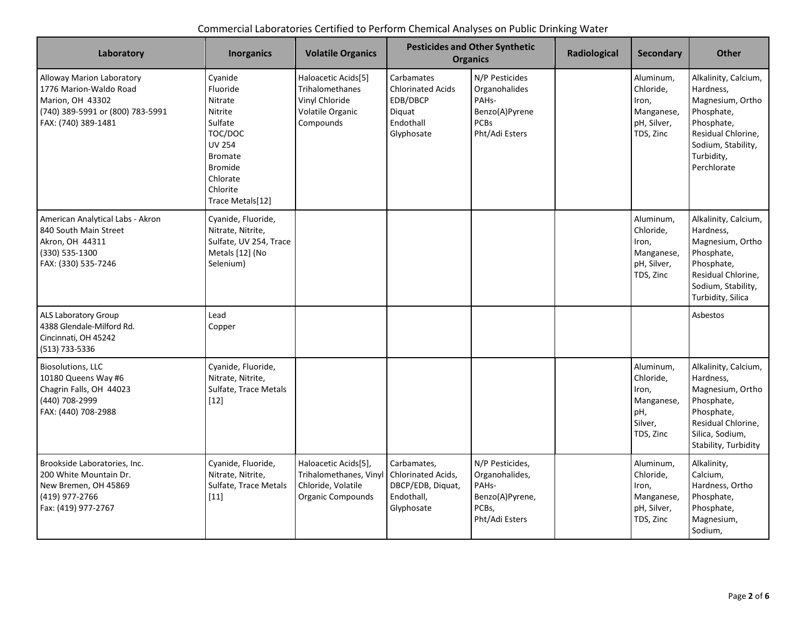| Laboratory                                                                                                                         | <b>Inorganics</b>                                                                                                                                                | <b>Volatile Organics</b>                                                                         |                                                                                         | <b>Pesticides and Other Synthetic</b><br><b>Organics</b>                                                | Radiological | <b>Secondary</b>                                                             | <b>Other</b>                                                                                                                                               |
|------------------------------------------------------------------------------------------------------------------------------------|------------------------------------------------------------------------------------------------------------------------------------------------------------------|--------------------------------------------------------------------------------------------------|-----------------------------------------------------------------------------------------|---------------------------------------------------------------------------------------------------------|--------------|------------------------------------------------------------------------------|------------------------------------------------------------------------------------------------------------------------------------------------------------|
| Alloway Marion Laboratory<br>1776 Marion-Waldo Road<br>Marion, OH 43302<br>(740) 389-5991 or (800) 783-5991<br>FAX: (740) 389-1481 | Cyanide<br>Fluoride<br>Nitrate<br>Nitrite<br>Sulfate<br>TOC/DOC<br><b>UV 254</b><br><b>Bromate</b><br><b>Bromide</b><br>Chlorate<br>Chlorite<br>Trace Metals[12] | Haloacetic Acids[5]<br><b>Trihalomethanes</b><br>Vinyl Chloride<br>Volatile Organic<br>Compounds | Carbamates<br><b>Chlorinated Acids</b><br>EDB/DBCP<br>Diquat<br>Endothall<br>Glyphosate | N/P Pesticides<br>Organohalides<br>PAH <sub>s-</sub><br>Benzo(A)Pyrene<br><b>PCBs</b><br>Pht/Adi Esters |              | Aluminum,<br>Chloride,<br>Iron,<br>Manganese,<br>pH, Silver,<br>TDS, Zinc    | Alkalinity, Calcium,<br>Hardness,<br>Magnesium, Ortho<br>Phosphate,<br>Phosphate,<br>Residual Chlorine,<br>Sodium, Stability,<br>Turbidity,<br>Perchlorate |
| American Analytical Labs - Akron<br>840 South Main Street<br>Akron, OH 44311<br>(330) 535-1300<br>FAX: (330) 535-7246              | Cyanide, Fluoride,<br>Nitrate, Nitrite,<br>Sulfate, UV 254, Trace<br>Metals [12] (No<br>Selenium)                                                                |                                                                                                  |                                                                                         |                                                                                                         |              | Aluminum,<br>Chloride,<br>Iron,<br>Manganese,<br>pH, Silver,<br>TDS, Zinc    | Alkalinity, Calcium,<br>Hardness,<br>Magnesium, Ortho<br>Phosphate,<br>Phosphate,<br>Residual Chlorine,<br>Sodium, Stability,<br>Turbidity, Silica         |
| ALS Laboratory Group<br>4388 Glendale-Milford Rd.<br>Cincinnati, OH 45242<br>(513) 733-5336                                        | Lead<br>Copper                                                                                                                                                   |                                                                                                  |                                                                                         |                                                                                                         |              |                                                                              | Asbestos                                                                                                                                                   |
| <b>Biosolutions, LLC</b><br>10180 Queens Way #6<br>Chagrin Falls, OH 44023<br>(440) 708-2999<br>FAX: (440) 708-2988                | Cyanide, Fluoride,<br>Nitrate, Nitrite,<br>Sulfate, Trace Metals<br>$[12]$                                                                                       |                                                                                                  |                                                                                         |                                                                                                         |              | Aluminum,<br>Chloride,<br>Iron,<br>Manganese,<br>pH,<br>Silver,<br>TDS, Zinc | Alkalinity, Calcium,<br>Hardness,<br>Magnesium, Ortho<br>Phosphate,<br>Phosphate,<br>Residual Chlorine.<br>Silica, Sodium,<br>Stability, Turbidity         |
| Brookside Laboratories, Inc.<br>200 White Mountain Dr.<br>New Bremen, OH 45869<br>(419) 977-2766<br>Fax: (419) 977-2767            | Cyanide, Fluoride,<br>Nitrate, Nitrite,<br>Sulfate, Trace Metals<br>$[11]$                                                                                       | Haloacetic Acids[5],<br>Trihalomethanes, Vinyl<br>Chloride, Volatile<br><b>Organic Compounds</b> | Carbamates,<br>Chlorinated Acids,<br>DBCP/EDB, Diquat,<br>Endothall,<br>Glyphosate      | N/P Pesticides,<br>Organohalides,<br>PAH <sub>s</sub> -<br>Benzo(A)Pyrene,<br>PCBs,<br>Pht/Adi Esters   |              | Aluminum,<br>Chloride,<br>Iron,<br>Manganese,<br>pH, Silver,<br>TDS, Zinc    | Alkalinity,<br>Calcium,<br>Hardness, Ortho<br>Phosphate,<br>Phosphate,<br>Magnesium,<br>Sodium,                                                            |

## Commercial Laboratories Certified to Perform Chemical Analyses on Public Drinking Water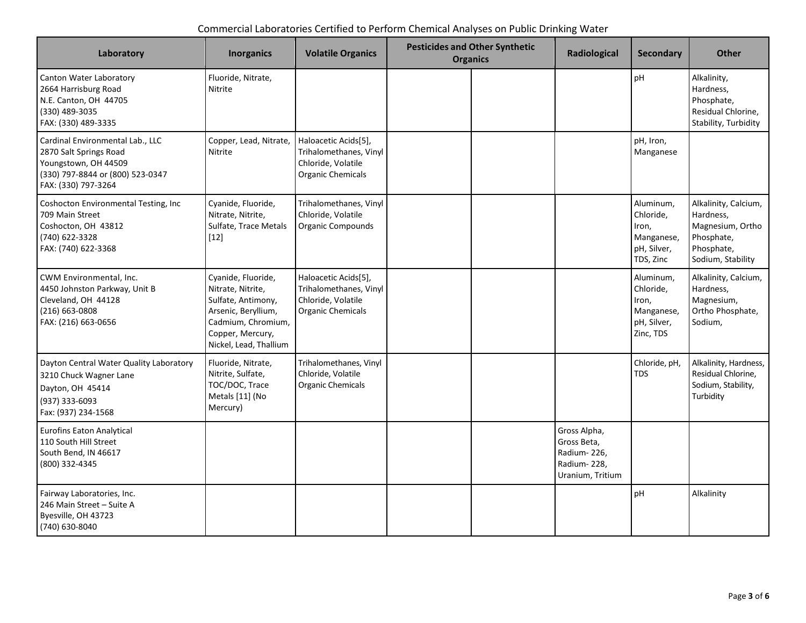| Commercial Laboratories Certified to Perform Chemical Analyses on Public Drinking Water |  |
|-----------------------------------------------------------------------------------------|--|
|-----------------------------------------------------------------------------------------|--|

| Laboratory                                                                                                                                    | <b>Inorganics</b>                                                                                                                                        | <b>Volatile Organics</b>                                                                         | <b>Pesticides and Other Synthetic</b><br><b>Organics</b> | Radiological                                                                  | <b>Secondary</b>                                                          | <b>Other</b>                                                                                           |
|-----------------------------------------------------------------------------------------------------------------------------------------------|----------------------------------------------------------------------------------------------------------------------------------------------------------|--------------------------------------------------------------------------------------------------|----------------------------------------------------------|-------------------------------------------------------------------------------|---------------------------------------------------------------------------|--------------------------------------------------------------------------------------------------------|
| Canton Water Laboratory<br>2664 Harrisburg Road<br>N.E. Canton, OH 44705<br>(330) 489-3035<br>FAX: (330) 489-3335                             | Fluoride, Nitrate,<br>Nitrite                                                                                                                            |                                                                                                  |                                                          |                                                                               | pH                                                                        | Alkalinity,<br>Hardness,<br>Phosphate,<br>Residual Chlorine,<br>Stability, Turbidity                   |
| Cardinal Environmental Lab., LLC<br>2870 Salt Springs Road<br>Youngstown, OH 44509<br>(330) 797-8844 or (800) 523-0347<br>FAX: (330) 797-3264 | Copper, Lead, Nitrate,<br><b>Nitrite</b>                                                                                                                 | Haloacetic Acids[5],<br>Trihalomethanes, Vinyl<br>Chloride, Volatile<br><b>Organic Chemicals</b> |                                                          |                                                                               | pH, Iron,<br>Manganese                                                    |                                                                                                        |
| Coshocton Environmental Testing, Inc.<br>709 Main Street<br>Coshocton, OH 43812<br>(740) 622-3328<br>FAX: (740) 622-3368                      | Cyanide, Fluoride,<br>Nitrate, Nitrite,<br>Sulfate, Trace Metals<br>$[12]$                                                                               | Trihalomethanes, Vinyl<br>Chloride, Volatile<br><b>Organic Compounds</b>                         |                                                          |                                                                               | Aluminum,<br>Chloride,<br>Iron,<br>Manganese,<br>pH, Silver,<br>TDS, Zinc | Alkalinity, Calcium,<br>Hardness,<br>Magnesium, Ortho<br>Phosphate,<br>Phosphate,<br>Sodium, Stability |
| CWM Environmental, Inc.<br>4450 Johnston Parkway, Unit B<br>Cleveland, OH 44128<br>(216) 663-0808<br>FAX: (216) 663-0656                      | Cyanide, Fluoride,<br>Nitrate, Nitrite,<br>Sulfate, Antimony,<br>Arsenic, Beryllium,<br>Cadmium, Chromium,<br>Copper, Mercury,<br>Nickel, Lead, Thallium | Haloacetic Acids[5],<br>Trihalomethanes, Vinyl<br>Chloride, Volatile<br><b>Organic Chemicals</b> |                                                          |                                                                               | Aluminum,<br>Chloride,<br>Iron,<br>Manganese,<br>pH, Silver,<br>Zinc, TDS | Alkalinity, Calcium,<br>Hardness,<br>Magnesium,<br>Ortho Phosphate,<br>Sodium,                         |
| Dayton Central Water Quality Laboratory<br>3210 Chuck Wagner Lane<br>Dayton, OH 45414<br>(937) 333-6093<br>Fax: (937) 234-1568                | Fluoride, Nitrate,<br>Nitrite, Sulfate,<br>TOC/DOC, Trace<br>Metals [11] (No<br>Mercury)                                                                 | Trihalomethanes, Vinyl<br>Chloride, Volatile<br><b>Organic Chemicals</b>                         |                                                          |                                                                               | Chloride, pH,<br><b>TDS</b>                                               | Alkalinity, Hardness,<br>Residual Chlorine,<br>Sodium, Stability,<br>Turbidity                         |
| <b>Eurofins Eaton Analytical</b><br>110 South Hill Street<br>South Bend, IN 46617<br>(800) 332-4345                                           |                                                                                                                                                          |                                                                                                  |                                                          | Gross Alpha,<br>Gross Beta,<br>Radium-226,<br>Radium-228,<br>Uranium, Tritium |                                                                           |                                                                                                        |
| Fairway Laboratories, Inc.<br>246 Main Street - Suite A<br>Byesville, OH 43723<br>(740) 630-8040                                              |                                                                                                                                                          |                                                                                                  |                                                          |                                                                               | pH                                                                        | Alkalinity                                                                                             |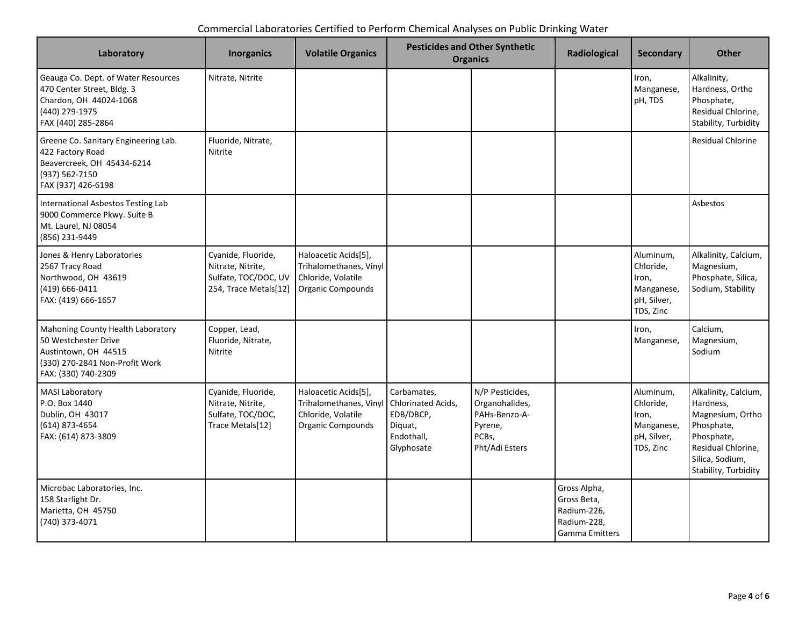| Commercial Laboratories Certified to Perform Chemical Analyses on Public Drinking Water |  |  |
|-----------------------------------------------------------------------------------------|--|--|
|-----------------------------------------------------------------------------------------|--|--|

| Laboratory                                                                                                                                 | <b>Inorganics</b>                                                                        | <b>Volatile Organics</b>                                                                         |                                                                                       | <b>Pesticides and Other Synthetic</b><br><b>Organics</b>                                 | Radiological                                                                       | <b>Secondary</b>                                                          | <b>Other</b>                                                                                                                                       |
|--------------------------------------------------------------------------------------------------------------------------------------------|------------------------------------------------------------------------------------------|--------------------------------------------------------------------------------------------------|---------------------------------------------------------------------------------------|------------------------------------------------------------------------------------------|------------------------------------------------------------------------------------|---------------------------------------------------------------------------|----------------------------------------------------------------------------------------------------------------------------------------------------|
| Geauga Co. Dept. of Water Resources<br>470 Center Street, Bldg. 3<br>Chardon, OH 44024-1068<br>(440) 279-1975<br>FAX (440) 285-2864        | Nitrate, Nitrite                                                                         |                                                                                                  |                                                                                       |                                                                                          |                                                                                    | Iron,<br>Manganese,<br>pH, TDS                                            | Alkalinity,<br>Hardness, Ortho<br>Phosphate,<br>Residual Chlorine,<br>Stability, Turbidity                                                         |
| Greene Co. Sanitary Engineering Lab.<br>422 Factory Road<br>Beavercreek, OH 45434-6214<br>(937) 562-7150<br>FAX (937) 426-6198             | Fluoride, Nitrate,<br>Nitrite                                                            |                                                                                                  |                                                                                       |                                                                                          |                                                                                    |                                                                           | <b>Residual Chlorine</b>                                                                                                                           |
| International Asbestos Testing Lab<br>9000 Commerce Pkwy. Suite B<br>Mt. Laurel, NJ 08054<br>(856) 231-9449                                |                                                                                          |                                                                                                  |                                                                                       |                                                                                          |                                                                                    |                                                                           | Asbestos                                                                                                                                           |
| Jones & Henry Laboratories<br>2567 Tracy Road<br>Northwood, OH 43619<br>(419) 666-0411<br>FAX: (419) 666-1657                              | Cyanide, Fluoride,<br>Nitrate, Nitrite,<br>Sulfate, TOC/DOC, UV<br>254, Trace Metals[12] | Haloacetic Acids[5],<br>Trihalomethanes, Vinyl<br>Chloride, Volatile<br><b>Organic Compounds</b> |                                                                                       |                                                                                          |                                                                                    | Aluminum,<br>Chloride,<br>Iron,<br>Manganese,<br>pH, Silver,<br>TDS, Zinc | Alkalinity, Calcium,<br>Magnesium,<br>Phosphate, Silica,<br>Sodium, Stability                                                                      |
| Mahoning County Health Laboratory<br>50 Westchester Drive<br>Austintown, OH 44515<br>(330) 270-2841 Non-Profit Work<br>FAX: (330) 740-2309 | Copper, Lead,<br>Fluoride, Nitrate,<br>Nitrite                                           |                                                                                                  |                                                                                       |                                                                                          |                                                                                    | Iron,<br>Manganese,                                                       | Calcium,<br>Magnesium,<br>Sodium                                                                                                                   |
| <b>MASI Laboratory</b><br>P.O. Box 1440<br>Dublin, OH 43017<br>(614) 873-4654<br>FAX: (614) 873-3809                                       | Cyanide, Fluoride,<br>Nitrate, Nitrite,<br>Sulfate, TOC/DOC,<br>Trace Metals[12]         | Haloacetic Acids[5],<br>Trihalomethanes, Vinyl<br>Chloride, Volatile<br><b>Organic Compounds</b> | Carbamates,<br>Chlorinated Acids,<br>EDB/DBCP,<br>Diguat,<br>Endothall,<br>Glyphosate | N/P Pesticides,<br>Organohalides,<br>PAHs-Benzo-A-<br>Pyrene,<br>PCBs,<br>Pht/Adi Esters |                                                                                    | Aluminum,<br>Chloride,<br>Iron,<br>Manganese,<br>pH, Silver,<br>TDS, Zinc | Alkalinity, Calcium,<br>Hardness,<br>Magnesium, Ortho<br>Phosphate,<br>Phosphate,<br>Residual Chlorine,<br>Silica, Sodium,<br>Stability, Turbidity |
| Microbac Laboratories, Inc.<br>158 Starlight Dr.<br>Marietta, OH 45750<br>(740) 373-4071                                                   |                                                                                          |                                                                                                  |                                                                                       |                                                                                          | Gross Alpha,<br>Gross Beta,<br>Radium-226,<br>Radium-228,<br><b>Gamma Emitters</b> |                                                                           |                                                                                                                                                    |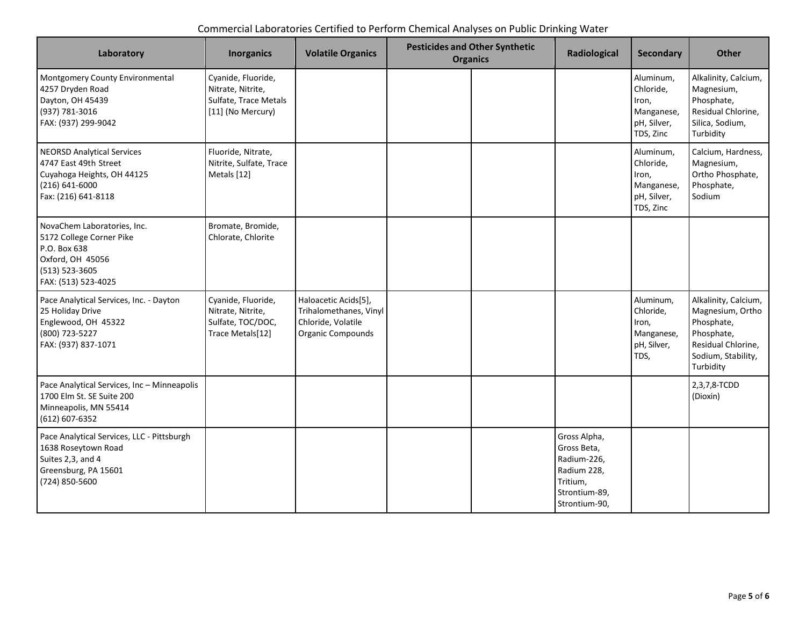| Commercial Laboratories Certified to Perform Chemical Analyses on Public Drinking Water |  |  |
|-----------------------------------------------------------------------------------------|--|--|
|-----------------------------------------------------------------------------------------|--|--|

| Laboratory                                                                                                                            | <b>Inorganics</b>                                                                     | <b>Volatile Organics</b>                                                                         | <b>Pesticides and Other Synthetic</b><br><b>Organics</b> | Radiological                                                                                            | <b>Secondary</b>                                                          | <b>Other</b>                                                                                                                  |
|---------------------------------------------------------------------------------------------------------------------------------------|---------------------------------------------------------------------------------------|--------------------------------------------------------------------------------------------------|----------------------------------------------------------|---------------------------------------------------------------------------------------------------------|---------------------------------------------------------------------------|-------------------------------------------------------------------------------------------------------------------------------|
| Montgomery County Environmental<br>4257 Dryden Road<br>Dayton, OH 45439<br>(937) 781-3016<br>FAX: (937) 299-9042                      | Cyanide, Fluoride,<br>Nitrate, Nitrite,<br>Sulfate, Trace Metals<br>[11] (No Mercury) |                                                                                                  |                                                          |                                                                                                         | Aluminum,<br>Chloride,<br>Iron,<br>Manganese,<br>pH, Silver,<br>TDS, Zinc | Alkalinity, Calcium,<br>Magnesium,<br>Phosphate,<br>Residual Chlorine,<br>Silica, Sodium,<br>Turbidity                        |
| <b>NEORSD Analytical Services</b><br>4747 East 49th Street<br>Cuyahoga Heights, OH 44125<br>$(216) 641 - 6000$<br>Fax: (216) 641-8118 | Fluoride, Nitrate,<br>Nitrite, Sulfate, Trace<br>Metals [12]                          |                                                                                                  |                                                          |                                                                                                         | Aluminum,<br>Chloride,<br>Iron,<br>Manganese,<br>pH, Silver,<br>TDS, Zinc | Calcium, Hardness,<br>Magnesium,<br>Ortho Phosphate,<br>Phosphate,<br>Sodium                                                  |
| NovaChem Laboratories, Inc.<br>5172 College Corner Pike<br>P.O. Box 638<br>Oxford, OH 45056<br>(513) 523-3605<br>FAX: (513) 523-4025  | Bromate, Bromide,<br>Chlorate, Chlorite                                               |                                                                                                  |                                                          |                                                                                                         |                                                                           |                                                                                                                               |
| Pace Analytical Services, Inc. - Dayton<br>25 Holiday Drive<br>Englewood, OH 45322<br>(800) 723-5227<br>FAX: (937) 837-1071           | Cyanide, Fluoride,<br>Nitrate, Nitrite,<br>Sulfate, TOC/DOC,<br>Trace Metals[12]      | Haloacetic Acids[5],<br>Trihalomethanes, Vinyl<br>Chloride, Volatile<br><b>Organic Compounds</b> |                                                          |                                                                                                         | Aluminum,<br>Chloride,<br>Iron,<br>Manganese,<br>pH, Silver,<br>TDS,      | Alkalinity, Calcium,<br>Magnesium, Ortho<br>Phosphate,<br>Phosphate,<br>Residual Chlorine,<br>Sodium, Stability,<br>Turbidity |
| Pace Analytical Services, Inc - Minneapolis<br>1700 Elm St. SE Suite 200<br>Minneapolis, MN 55414<br>(612) 607-6352                   |                                                                                       |                                                                                                  |                                                          |                                                                                                         |                                                                           | 2,3,7,8-TCDD<br>(Dioxin)                                                                                                      |
| Pace Analytical Services, LLC - Pittsburgh<br>1638 Roseytown Road<br>Suites 2,3, and 4<br>Greensburg, PA 15601<br>(724) 850-5600      |                                                                                       |                                                                                                  |                                                          | Gross Alpha,<br>Gross Beta,<br>Radium-226,<br>Radium 228,<br>Tritium,<br>Strontium-89,<br>Strontium-90, |                                                                           |                                                                                                                               |